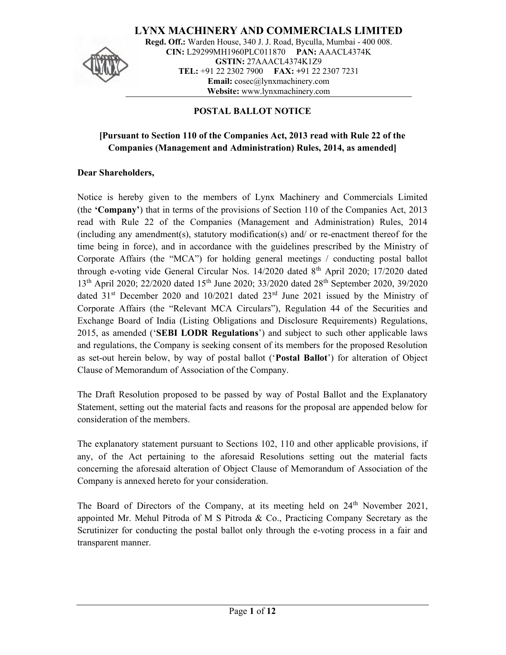

LYNX MACHINERY AND COMMERCIALS LIMITED Regd. Off.: Warden House, 340 J. J. Road, Byculla, Mumbai - 400 008. CIN: L29299MH1960PLC011870 PAN: AAACL4374K GSTIN: 27AAACL4374K1Z9 TEL: +91 22 2302 7900 FAX: +91 22 2307 7231 Email: cosec@lynxmachinery.com Website: www.lynxmachinery.com

# POSTAL BALLOT NOTICE

# [Pursuant to Section 110 of the Companies Act, 2013 read with Rule 22 of the Companies (Management and Administration) Rules, 2014, as amended]

## Dear Shareholders,

Notice is hereby given to the members of Lynx Machinery and Commercials Limited (the 'Company') that in terms of the provisions of Section 110 of the Companies Act, 2013 read with Rule 22 of the Companies (Management and Administration) Rules, 2014 (including any amendment(s), statutory modification(s) and/ or re-enactment thereof for the time being in force), and in accordance with the guidelines prescribed by the Ministry of Corporate Affairs (the "MCA") for holding general meetings / conducting postal ballot through e-voting vide General Circular Nos.  $14/2020$  dated  $8<sup>th</sup>$  April 2020; 17/2020 dated 13<sup>th</sup> April 2020; 22/2020 dated 15<sup>th</sup> June 2020; 33/2020 dated 28<sup>th</sup> September 2020, 39/2020 dated  $31<sup>st</sup>$  December 2020 and 10/2021 dated  $23<sup>rd</sup>$  June 2021 issued by the Ministry of Corporate Affairs (the "Relevant MCA Circulars"), Regulation 44 of the Securities and Exchange Board of India (Listing Obligations and Disclosure Requirements) Regulations, 2015, as amended ('SEBI LODR Regulations') and subject to such other applicable laws and regulations, the Company is seeking consent of its members for the proposed Resolution as set-out herein below, by way of postal ballot ('Postal Ballot') for alteration of Object Clause of Memorandum of Association of the Company.

The Draft Resolution proposed to be passed by way of Postal Ballot and the Explanatory Statement, setting out the material facts and reasons for the proposal are appended below for consideration of the members.

The explanatory statement pursuant to Sections 102, 110 and other applicable provisions, if any, of the Act pertaining to the aforesaid Resolutions setting out the material facts concerning the aforesaid alteration of Object Clause of Memorandum of Association of the Company is annexed hereto for your consideration.

The Board of Directors of the Company, at its meeting held on 24<sup>th</sup> November 2021, appointed Mr. Mehul Pitroda of M S Pitroda & Co., Practicing Company Secretary as the Scrutinizer for conducting the postal ballot only through the e-voting process in a fair and transparent manner.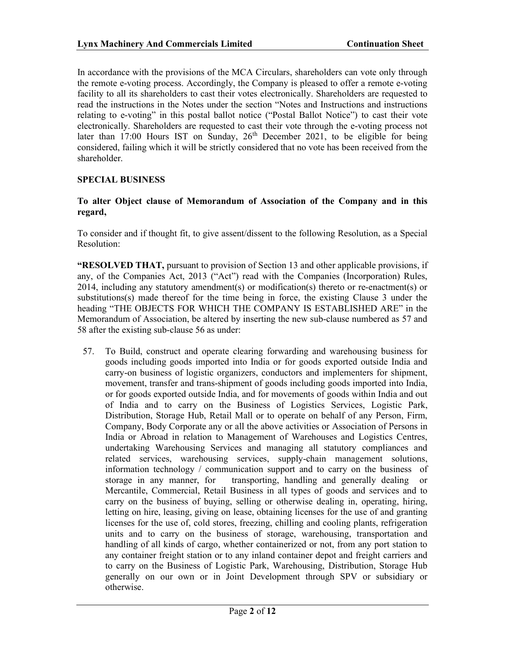In accordance with the provisions of the MCA Circulars, shareholders can vote only through the remote e-voting process. Accordingly, the Company is pleased to offer a remote e-voting facility to all its shareholders to cast their votes electronically. Shareholders are requested to read the instructions in the Notes under the section "Notes and Instructions and instructions relating to e-voting" in this postal ballot notice ("Postal Ballot Notice") to cast their vote electronically. Shareholders are requested to cast their vote through the e-voting process not later than 17:00 Hours IST on Sunday,  $26<sup>th</sup>$  December 2021, to be eligible for being considered, failing which it will be strictly considered that no vote has been received from the shareholder.

# SPECIAL BUSINESS

#### To alter Object clause of Memorandum of Association of the Company and in this regard,

To consider and if thought fit, to give assent/dissent to the following Resolution, as a Special Resolution:

"RESOLVED THAT, pursuant to provision of Section 13 and other applicable provisions, if any, of the Companies Act, 2013 ("Act") read with the Companies (Incorporation) Rules, 2014, including any statutory amendment(s) or modification(s) thereto or re-enactment(s) or substitutions(s) made thereof for the time being in force, the existing Clause 3 under the heading "THE OBJECTS FOR WHICH THE COMPANY IS ESTABLISHED ARE" in the Memorandum of Association, be altered by inserting the new sub-clause numbered as 57 and 58 after the existing sub-clause 56 as under:

57. To Build, construct and operate clearing forwarding and warehousing business for goods including goods imported into India or for goods exported outside India and carry-on business of logistic organizers, conductors and implementers for shipment, movement, transfer and trans-shipment of goods including goods imported into India, or for goods exported outside India, and for movements of goods within India and out of India and to carry on the Business of Logistics Services, Logistic Park, Distribution, Storage Hub, Retail Mall or to operate on behalf of any Person, Firm, Company, Body Corporate any or all the above activities or Association of Persons in India or Abroad in relation to Management of Warehouses and Logistics Centres, undertaking Warehousing Services and managing all statutory compliances and related services, warehousing services, supply-chain management solutions, information technology / communication support and to carry on the business of storage in any manner, for transporting, handling and generally dealing or Mercantile, Commercial, Retail Business in all types of goods and services and to carry on the business of buying, selling or otherwise dealing in, operating, hiring, letting on hire, leasing, giving on lease, obtaining licenses for the use of and granting licenses for the use of, cold stores, freezing, chilling and cooling plants, refrigeration units and to carry on the business of storage, warehousing, transportation and handling of all kinds of cargo, whether containerized or not, from any port station to any container freight station or to any inland container depot and freight carriers and to carry on the Business of Logistic Park, Warehousing, Distribution, Storage Hub generally on our own or in Joint Development through SPV or subsidiary or otherwise.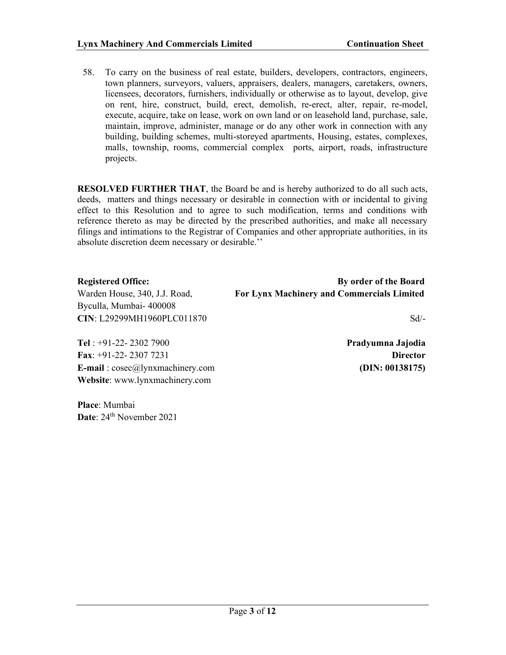58. To carry on the business of real estate, builders, developers, contractors, engineers, town planners, surveyors, valuers, appraisers, dealers, managers, caretakers, owners, licensees, decorators, furnishers, individually or otherwise as to layout, develop, give on rent, hire, construct, build, erect, demolish, re-erect, alter, repair, re-model, execute, acquire, take on lease, work on own land or on leasehold land, purchase, sale, maintain, improve, administer, manage or do any other work in connection with any building, building schemes, multi-storeyed apartments, Housing, estates, complexes, malls, township, rooms, commercial complex ports, airport, roads, infrastructure projects.

RESOLVED FURTHER THAT, the Board be and is hereby authorized to do all such acts, deeds, matters and things necessary or desirable in connection with or incidental to giving effect to this Resolution and to agree to such modification, terms and conditions with reference thereto as may be directed by the prescribed authorities, and make all necessary filings and intimations to the Registrar of Companies and other appropriate authorities, in its absolute discretion deem necessary or desirable.''

| <b>Registered Office:</b>     | By order of the Board                             |
|-------------------------------|---------------------------------------------------|
| Warden House, 340, J.J. Road, | <b>For Lynx Machinery and Commercials Limited</b> |
| Byculla, Mumbai-400008        |                                                   |
| CIN: L29299MH1960PLC011870    | $Sd/-$                                            |
|                               |                                                   |
|                               |                                                   |

Tel : +91-22- 2302 7900 Fax: +91-22- 2307 7231 E-mail: cosec@lynxmachinery.com Website: www.lynxmachinery.com

Place: Mumbai Date: 24<sup>th</sup> November 2021 Pradyumna Jajodia **Director** (DIN: 00138175)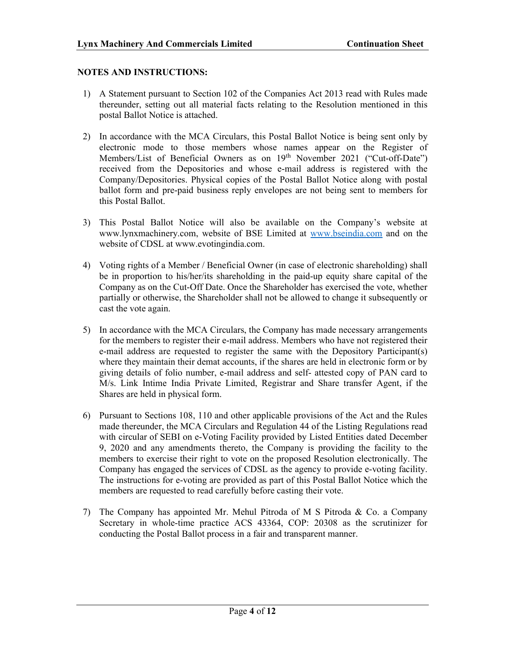### NOTES AND INSTRUCTIONS:

- 1) A Statement pursuant to Section 102 of the Companies Act 2013 read with Rules made thereunder, setting out all material facts relating to the Resolution mentioned in this postal Ballot Notice is attached.
- 2) In accordance with the MCA Circulars, this Postal Ballot Notice is being sent only by electronic mode to those members whose names appear on the Register of Members/List of Beneficial Owners as on 19<sup>th</sup> November 2021 ("Cut-off-Date") received from the Depositories and whose e-mail address is registered with the Company/Depositories. Physical copies of the Postal Ballot Notice along with postal ballot form and pre-paid business reply envelopes are not being sent to members for this Postal Ballot.
- 3) This Postal Ballot Notice will also be available on the Company's website at www.lynxmachinery.com, website of BSE Limited at www.bseindia.com and on the website of CDSL at www.evotingindia.com.
- 4) Voting rights of a Member / Beneficial Owner (in case of electronic shareholding) shall be in proportion to his/her/its shareholding in the paid-up equity share capital of the Company as on the Cut-Off Date. Once the Shareholder has exercised the vote, whether partially or otherwise, the Shareholder shall not be allowed to change it subsequently or cast the vote again.
- 5) In accordance with the MCA Circulars, the Company has made necessary arrangements for the members to register their e-mail address. Members who have not registered their e-mail address are requested to register the same with the Depository Participant(s) where they maintain their demat accounts, if the shares are held in electronic form or by giving details of folio number, e-mail address and self- attested copy of PAN card to M/s. Link Intime India Private Limited, Registrar and Share transfer Agent, if the Shares are held in physical form.
- 6) Pursuant to Sections 108, 110 and other applicable provisions of the Act and the Rules made thereunder, the MCA Circulars and Regulation 44 of the Listing Regulations read with circular of SEBI on e-Voting Facility provided by Listed Entities dated December 9, 2020 and any amendments thereto, the Company is providing the facility to the members to exercise their right to vote on the proposed Resolution electronically. The Company has engaged the services of CDSL as the agency to provide e-voting facility. The instructions for e-voting are provided as part of this Postal Ballot Notice which the members are requested to read carefully before casting their vote.
- 7) The Company has appointed Mr. Mehul Pitroda of M S Pitroda & Co. a Company Secretary in whole-time practice ACS 43364, COP: 20308 as the scrutinizer for conducting the Postal Ballot process in a fair and transparent manner.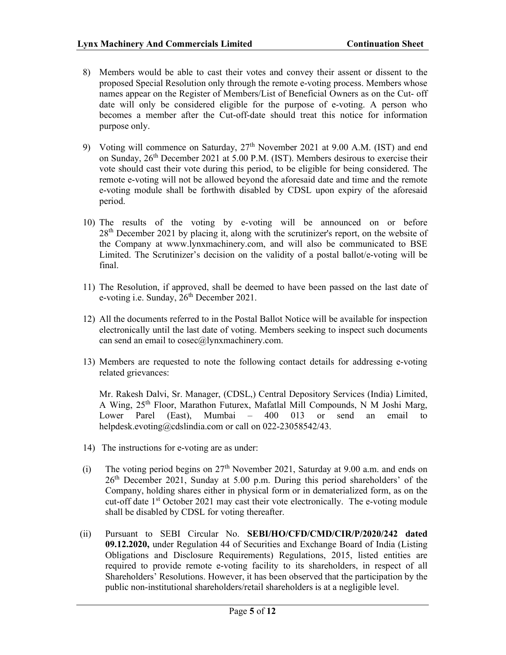- 8) Members would be able to cast their votes and convey their assent or dissent to the proposed Special Resolution only through the remote e-voting process. Members whose names appear on the Register of Members/List of Beneficial Owners as on the Cut- off date will only be considered eligible for the purpose of e-voting. A person who becomes a member after the Cut-off-date should treat this notice for information purpose only.
- 9) Voting will commence on Saturday,  $27<sup>th</sup>$  November 2021 at 9.00 A.M. (IST) and end on Sunday,  $26<sup>th</sup>$  December 2021 at 5.00 P.M. (IST). Members desirous to exercise their vote should cast their vote during this period, to be eligible for being considered. The remote e-voting will not be allowed beyond the aforesaid date and time and the remote e-voting module shall be forthwith disabled by CDSL upon expiry of the aforesaid period.
- 10) The results of the voting by e-voting will be announced on or before  $28<sup>th</sup>$  December 2021 by placing it, along with the scrutinizer's report, on the website of the Company at www.lynxmachinery.com, and will also be communicated to BSE Limited. The Scrutinizer's decision on the validity of a postal ballot/e-voting will be final.
- 11) The Resolution, if approved, shall be deemed to have been passed on the last date of e-voting i.e. Sunday,  $26<sup>th</sup>$  December 2021.
- 12) All the documents referred to in the Postal Ballot Notice will be available for inspection electronically until the last date of voting. Members seeking to inspect such documents can send an email to  $cosec(a)$ lynxmachinery.com.
- 13) Members are requested to note the following contact details for addressing e-voting related grievances:

Mr. Rakesh Dalvi, Sr. Manager, (CDSL,) Central Depository Services (India) Limited, A Wing, 25th Floor, Marathon Futurex, Mafatlal Mill Compounds, N M Joshi Marg, Lower Parel (East), Mumbai – 400 013 or send an email to helpdesk.evoting@cdslindia.com or call on 022-23058542/43.

- 14) The instructions for e-voting are as under:
- (i) The voting period begins on  $27<sup>th</sup>$  November 2021, Saturday at 9.00 a.m. and ends on 26th December 2021, Sunday at 5.00 p.m. During this period shareholders' of the Company, holding shares either in physical form or in dematerialized form, as on the cut-off date  $1<sup>st</sup>$  October 2021 may cast their vote electronically. The e-voting module shall be disabled by CDSL for voting thereafter.
- (ii) Pursuant to SEBI Circular No. SEBI/HO/CFD/CMD/CIR/P/2020/242 dated 09.12.2020, under Regulation 44 of Securities and Exchange Board of India (Listing Obligations and Disclosure Requirements) Regulations, 2015, listed entities are required to provide remote e-voting facility to its shareholders, in respect of all Shareholders' Resolutions. However, it has been observed that the participation by the public non-institutional shareholders/retail shareholders is at a negligible level.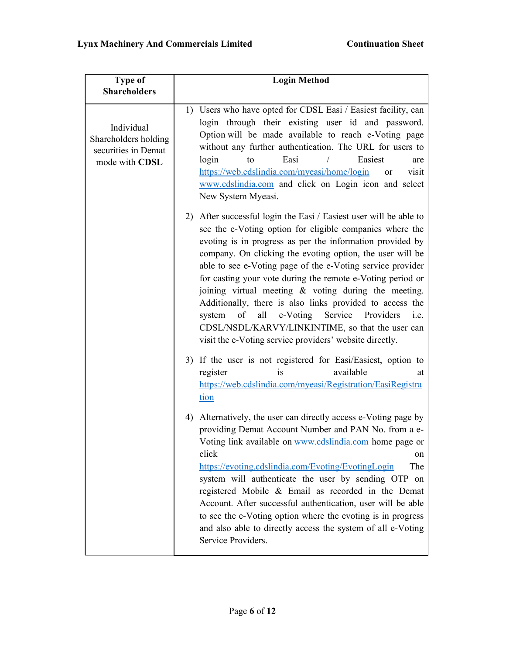| <b>Type of</b>                                                              | <b>Login Method</b>                                                                                                                                                                                                                                                                                                                                                                                                                                                                                                                                                                                                                                                                       |  |  |
|-----------------------------------------------------------------------------|-------------------------------------------------------------------------------------------------------------------------------------------------------------------------------------------------------------------------------------------------------------------------------------------------------------------------------------------------------------------------------------------------------------------------------------------------------------------------------------------------------------------------------------------------------------------------------------------------------------------------------------------------------------------------------------------|--|--|
| <b>Shareholders</b>                                                         |                                                                                                                                                                                                                                                                                                                                                                                                                                                                                                                                                                                                                                                                                           |  |  |
|                                                                             |                                                                                                                                                                                                                                                                                                                                                                                                                                                                                                                                                                                                                                                                                           |  |  |
| Individual<br>Shareholders holding<br>securities in Demat<br>mode with CDSL | 1) Users who have opted for CDSL Easi / Easiest facility, can<br>login through their existing user id and password.<br>Option will be made available to reach e-Voting page<br>without any further authentication. The URL for users to<br>Easi<br>Easiest<br>login<br>to<br>are<br>https://web.cdslindia.com/myeasi/home/login<br>visit<br><b>or</b><br>www.cdslindia.com and click on Login icon and select<br>New System Myeasi.                                                                                                                                                                                                                                                       |  |  |
|                                                                             | 2) After successful login the Easi / Easiest user will be able to<br>see the e-Voting option for eligible companies where the<br>evoting is in progress as per the information provided by<br>company. On clicking the evoting option, the user will be<br>able to see e-Voting page of the e-Voting service provider<br>for casting your vote during the remote e-Voting period or<br>joining virtual meeting $\&$ voting during the meeting.<br>Additionally, there is also links provided to access the<br>e-Voting<br>Service Providers<br>of<br>all<br>system<br>i.e.<br>CDSL/NSDL/KARVY/LINKINTIME, so that the user can<br>visit the e-Voting service providers' website directly. |  |  |
|                                                                             | 3) If the user is not registered for Easi/Easiest, option to<br>available<br>register<br>is.<br>at<br>https://web.cdslindia.com/myeasi/Registration/EasiRegistra<br>tion                                                                                                                                                                                                                                                                                                                                                                                                                                                                                                                  |  |  |
|                                                                             | 4) Alternatively, the user can directly access e-Voting page by<br>providing Demat Account Number and PAN No. from a e-<br>Voting link available on www.cdslindia.com home page or<br>click<br>on<br>The<br>https://evoting.cdslindia.com/Evoting/EvotingLogin<br>system will authenticate the user by sending OTP on<br>registered Mobile & Email as recorded in the Demat<br>Account. After successful authentication, user will be able<br>to see the e-Voting option where the evoting is in progress<br>and also able to directly access the system of all e-Voting<br>Service Providers.                                                                                            |  |  |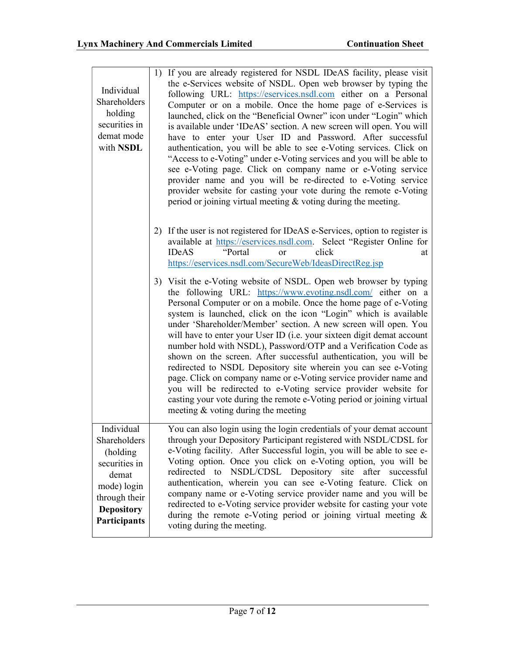| Individual<br>Shareholders<br>holding<br>securities in<br>demat mode<br>with NSDL                                                             | If you are already registered for NSDL IDeAS facility, please visit<br>1)<br>the e-Services website of NSDL. Open web browser by typing the<br>following URL: https://eservices.nsdl.com either on a Personal<br>Computer or on a mobile. Once the home page of e-Services is<br>launched, click on the "Beneficial Owner" icon under "Login" which<br>is available under 'IDeAS' section. A new screen will open. You will<br>have to enter your User ID and Password. After successful<br>authentication, you will be able to see e-Voting services. Click on<br>"Access to e-Voting" under e-Voting services and you will be able to<br>see e-Voting page. Click on company name or e-Voting service<br>provider name and you will be re-directed to e-Voting service<br>provider website for casting your vote during the remote e-Voting<br>period or joining virtual meeting $\&$ voting during the meeting. |
|-----------------------------------------------------------------------------------------------------------------------------------------------|--------------------------------------------------------------------------------------------------------------------------------------------------------------------------------------------------------------------------------------------------------------------------------------------------------------------------------------------------------------------------------------------------------------------------------------------------------------------------------------------------------------------------------------------------------------------------------------------------------------------------------------------------------------------------------------------------------------------------------------------------------------------------------------------------------------------------------------------------------------------------------------------------------------------|
|                                                                                                                                               | If the user is not registered for IDeAS e-Services, option to register is<br>2)<br>available at https://eservices.nsdl.com. Select "Register Online for<br>"Portal<br>click<br><b>IDeAS</b><br>or<br>at<br>https://eservices.nsdl.com/SecureWeb/IdeasDirectReg.jsp                                                                                                                                                                                                                                                                                                                                                                                                                                                                                                                                                                                                                                                 |
|                                                                                                                                               | 3) Visit the e-Voting website of NSDL. Open web browser by typing<br>the following URL: https://www.evoting.nsdl.com/ either on a<br>Personal Computer or on a mobile. Once the home page of e-Voting<br>system is launched, click on the icon "Login" which is available<br>under 'Shareholder/Member' section. A new screen will open. You<br>will have to enter your User ID (i.e. your sixteen digit demat account<br>number hold with NSDL), Password/OTP and a Verification Code as<br>shown on the screen. After successful authentication, you will be<br>redirected to NSDL Depository site wherein you can see e-Voting<br>page. Click on company name or e-Voting service provider name and<br>you will be redirected to e-Voting service provider website for<br>casting your vote during the remote e-Voting period or joining virtual<br>meeting & voting during the meeting                         |
| Individual<br>Shareholders<br>(holding)<br>securities in<br>demat<br>mode) login<br>through their<br><b>Depository</b><br><b>Participants</b> | You can also login using the login credentials of your demat account<br>through your Depository Participant registered with NSDL/CDSL for<br>e-Voting facility. After Successful login, you will be able to see e-<br>Voting option. Once you click on e-Voting option, you will be<br>redirected to NSDL/CDSL Depository site after successful<br>authentication, wherein you can see e-Voting feature. Click on<br>company name or e-Voting service provider name and you will be<br>redirected to e-Voting service provider website for casting your vote<br>during the remote e-Voting period or joining virtual meeting &<br>voting during the meeting.                                                                                                                                                                                                                                                       |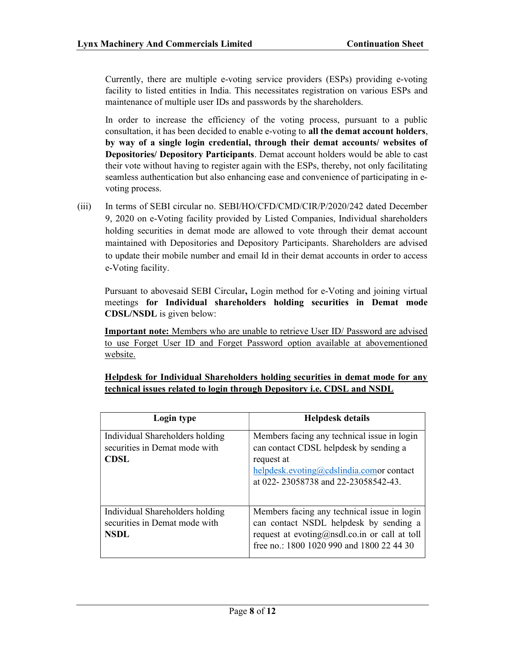Currently, there are multiple e-voting service providers (ESPs) providing e-voting facility to listed entities in India. This necessitates registration on various ESPs and maintenance of multiple user IDs and passwords by the shareholders.

In order to increase the efficiency of the voting process, pursuant to a public consultation, it has been decided to enable e-voting to all the demat account holders, by way of a single login credential, through their demat accounts/ websites of Depositories/ Depository Participants. Demat account holders would be able to cast their vote without having to register again with the ESPs, thereby, not only facilitating seamless authentication but also enhancing ease and convenience of participating in evoting process.

(iii) In terms of SEBI circular no. SEBI/HO/CFD/CMD/CIR/P/2020/242 dated December 9, 2020 on e-Voting facility provided by Listed Companies, Individual shareholders holding securities in demat mode are allowed to vote through their demat account maintained with Depositories and Depository Participants. Shareholders are advised to update their mobile number and email Id in their demat accounts in order to access e-Voting facility.

Pursuant to abovesaid SEBI Circular, Login method for e-Voting and joining virtual meetings for Individual shareholders holding securities in Demat mode CDSL/NSDL is given below:

Important note: Members who are unable to retrieve User ID/ Password are advised to use Forget User ID and Forget Password option available at abovementioned website.

| Helpdesk for Individual Shareholders holding securities in demat mode for any  |
|--------------------------------------------------------------------------------|
| technical issues related to login through Depository <i>i.e.</i> CDSL and NSDL |

| Login type                                                                      | Helpdesk details                                                                                                                                                                       |
|---------------------------------------------------------------------------------|----------------------------------------------------------------------------------------------------------------------------------------------------------------------------------------|
| Individual Shareholders holding<br>securities in Demat mode with<br><b>CDSL</b> | Members facing any technical issue in login<br>can contact CDSL helpdesk by sending a<br>request at<br>helpdesk.evoting@cdslindia.comor contact<br>at 022-23058738 and 22-23058542-43. |
| Individual Shareholders holding<br>securities in Demat mode with<br>NSDL        | Members facing any technical issue in login<br>can contact NSDL helpdesk by sending a<br>request at evoting@nsdl.co.in or call at toll<br>free no.: 1800 1020 990 and 1800 22 44 30    |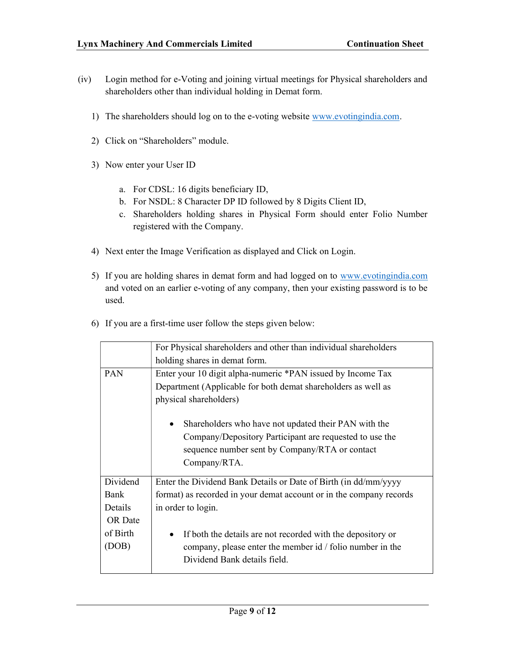- (iv) Login method for e-Voting and joining virtual meetings for Physical shareholders and shareholders other than individual holding in Demat form.
	- 1) The shareholders should log on to the e-voting website www.evotingindia.com.
	- 2) Click on "Shareholders" module.
	- 3) Now enter your User ID
		- a. For CDSL: 16 digits beneficiary ID,
		- b. For NSDL: 8 Character DP ID followed by 8 Digits Client ID,
		- c. Shareholders holding shares in Physical Form should enter Folio Number registered with the Company.
	- 4) Next enter the Image Verification as displayed and Click on Login.
	- 5) If you are holding shares in demat form and had logged on to www.evotingindia.com and voted on an earlier e-voting of any company, then your existing password is to be used.

|  |  |  |  |  | 6) If you are a first-time user follow the steps given below: |  |
|--|--|--|--|--|---------------------------------------------------------------|--|
|--|--|--|--|--|---------------------------------------------------------------|--|

|            | For Physical shareholders and other than individual shareholders         |  |
|------------|--------------------------------------------------------------------------|--|
|            | holding shares in demat form.                                            |  |
| <b>PAN</b> | Enter your 10 digit alpha-numeric *PAN issued by Income Tax              |  |
|            | Department (Applicable for both demat shareholders as well as            |  |
|            | physical shareholders)                                                   |  |
|            | Shareholders who have not updated their PAN with the<br>$\bullet$        |  |
|            | Company/Depository Participant are requested to use the                  |  |
|            | sequence number sent by Company/RTA or contact                           |  |
|            | Company/RTA.                                                             |  |
| Dividend   | Enter the Dividend Bank Details or Date of Birth (in dd/mm/yyyy          |  |
| Bank       | format) as recorded in your demat account or in the company records      |  |
| Details    | in order to login.                                                       |  |
| OR Date    |                                                                          |  |
| of Birth   | If both the details are not recorded with the depository or<br>$\bullet$ |  |
| (DOB)      | company, please enter the member id / folio number in the                |  |
|            | Dividend Bank details field.                                             |  |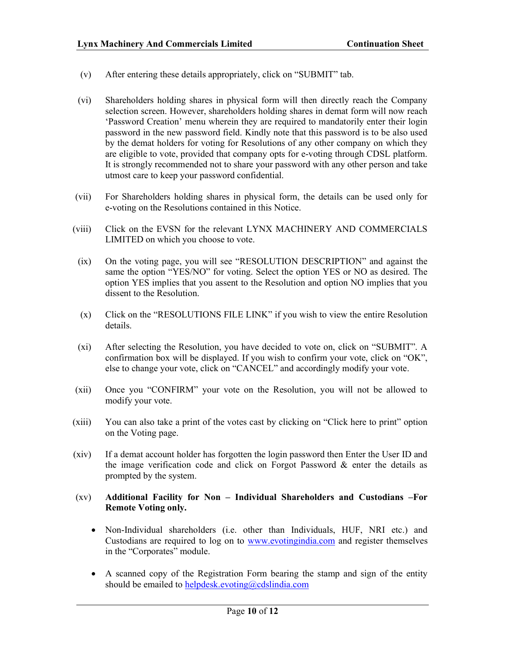- (v) After entering these details appropriately, click on "SUBMIT" tab.
- (vi) Shareholders holding shares in physical form will then directly reach the Company selection screen. However, shareholders holding shares in demat form will now reach 'Password Creation' menu wherein they are required to mandatorily enter their login password in the new password field. Kindly note that this password is to be also used by the demat holders for voting for Resolutions of any other company on which they are eligible to vote, provided that company opts for e-voting through CDSL platform. It is strongly recommended not to share your password with any other person and take utmost care to keep your password confidential.
- (vii) For Shareholders holding shares in physical form, the details can be used only for e-voting on the Resolutions contained in this Notice.
- (viii) Click on the EVSN for the relevant LYNX MACHINERY AND COMMERCIALS LIMITED on which you choose to vote.
- (ix) On the voting page, you will see "RESOLUTION DESCRIPTION" and against the same the option "YES/NO" for voting. Select the option YES or NO as desired. The option YES implies that you assent to the Resolution and option NO implies that you dissent to the Resolution.
- (x) Click on the "RESOLUTIONS FILE LINK" if you wish to view the entire Resolution details.
- (xi) After selecting the Resolution, you have decided to vote on, click on "SUBMIT". A confirmation box will be displayed. If you wish to confirm your vote, click on "OK", else to change your vote, click on "CANCEL" and accordingly modify your vote.
- (xii) Once you "CONFIRM" your vote on the Resolution, you will not be allowed to modify your vote.
- (xiii) You can also take a print of the votes cast by clicking on "Click here to print" option on the Voting page.
- (xiv) If a demat account holder has forgotten the login password then Enter the User ID and the image verification code and click on Forgot Password  $\&$  enter the details as prompted by the system.

## (xv) Additional Facility for Non – Individual Shareholders and Custodians –For Remote Voting only.

- Non-Individual shareholders (i.e. other than Individuals, HUF, NRI etc.) and Custodians are required to log on to www.evotingindia.com and register themselves in the "Corporates" module.
- A scanned copy of the Registration Form bearing the stamp and sign of the entity should be emailed to helpdesk.evoting@cdslindia.com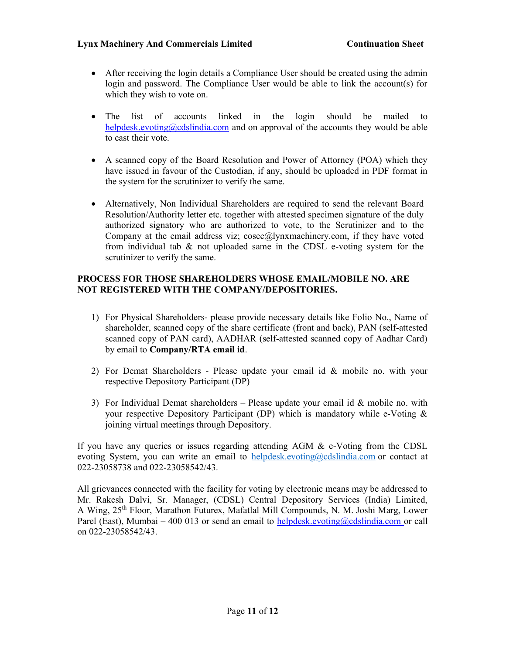- After receiving the login details a Compliance User should be created using the admin login and password. The Compliance User would be able to link the account(s) for which they wish to vote on.
- The list of accounts linked in the login should be mailed to helpdesk.evoting@cdslindia.com and on approval of the accounts they would be able to cast their vote.
- A scanned copy of the Board Resolution and Power of Attorney (POA) which they have issued in favour of the Custodian, if any, should be uploaded in PDF format in the system for the scrutinizer to verify the same.
- Alternatively, Non Individual Shareholders are required to send the relevant Board Resolution/Authority letter etc. together with attested specimen signature of the duly authorized signatory who are authorized to vote, to the Scrutinizer and to the Company at the email address viz;  $cosec(a)$ lynxmachinery.com, if they have voted from individual tab & not uploaded same in the CDSL e-voting system for the scrutinizer to verify the same.

## PROCESS FOR THOSE SHAREHOLDERS WHOSE EMAIL/MOBILE NO. ARE NOT REGISTERED WITH THE COMPANY/DEPOSITORIES.

- 1) For Physical Shareholders- please provide necessary details like Folio No., Name of shareholder, scanned copy of the share certificate (front and back), PAN (self-attested scanned copy of PAN card), AADHAR (self-attested scanned copy of Aadhar Card) by email to Company/RTA email id.
- 2) For Demat Shareholders Please update your email id & mobile no. with your respective Depository Participant (DP)
- 3) For Individual Demat shareholders Please update your email id  $&$  mobile no. with your respective Depository Participant (DP) which is mandatory while e-Voting & joining virtual meetings through Depository.

If you have any queries or issues regarding attending AGM & e-Voting from the CDSL evoting System, you can write an email to helpdesk.evoting@cdslindia.com or contact at 022-23058738 and 022-23058542/43.

All grievances connected with the facility for voting by electronic means may be addressed to Mr. Rakesh Dalvi, Sr. Manager, (CDSL) Central Depository Services (India) Limited, A Wing, 25th Floor, Marathon Futurex, Mafatlal Mill Compounds, N. M. Joshi Marg, Lower Parel (East), Mumbai – 400 013 or send an email to helpdesk.evoting@cdslindia.com or call on 022-23058542/43.